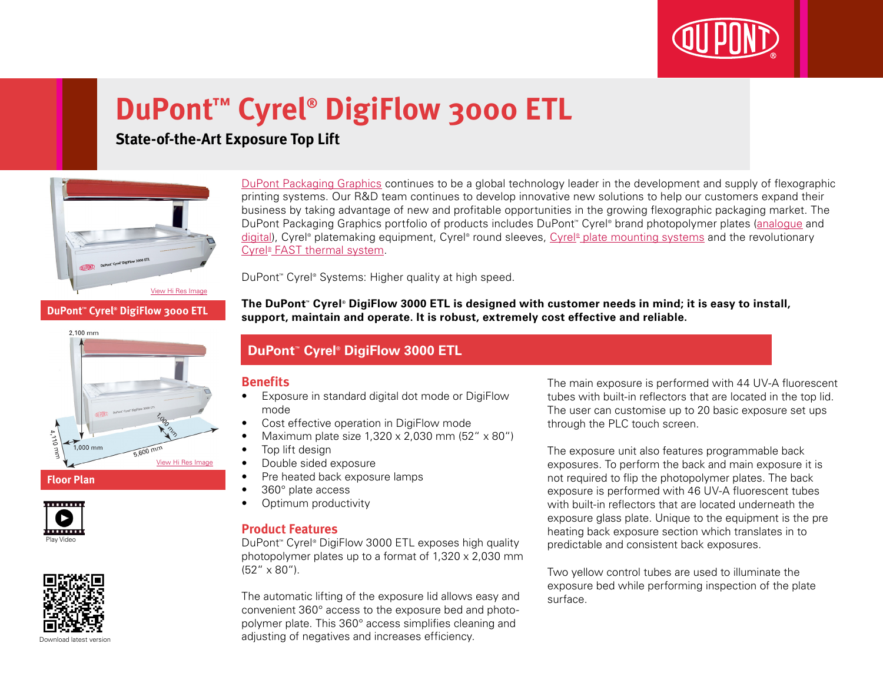

# **DuPont™ Cyrel® DigiFlow 3000 ETL**

**State-of-the-Art Exposure Top Lift**



[DuPont Packaging Graphics](http://www2.dupont.com/Packaging_Graphics/en_AU/index.html) continues to be a global technology leader in the development and supply of flexographic printing systems. Our R&D team continues to develop innovative new solutions to help our customers expand their business by taking advantage of new and profitable opportunities in the growing flexographic packaging market. The DuPont Packaging Graphics portfolio of products includes DuPont™ Cyrel® brand photopolymer plates ([analogue](http://www2.dupont.com/Packaging_Graphics/en_AU/products/solvent_platemaking/index.html) and [digital\)](http://www2.dupont.com/Packaging_Graphics/en_AU/products/digital_wkflow/digital_workflow.html), Cyrel® platemaking equipment, Cyrel® round sleeves, Cyrel® [plate mounting systems](http://www2.dupont.com/Packaging_Graphics/en_AU/products/mounting_systems/index.html) and the revolutionary Cyrel<sup>®</sup> [FAST thermal system.](http://www2.dupont.com/Packaging_Graphics/en_AU/products/thermal_platemaking/index.html)

DuPont™ Cyrel® Systems: Higher quality at high speed.

**The DuPont™ Cyrel® DigiFlow 3000 ETL is designed with customer needs in mind; it is easy to install, support, maintain and operate. It is robust, extremely cost effective and reliable.**

### **DuPont™ Cyrel® DigiFlow 3000 ETL**

#### **Benefits**

- • Exposure in standard digital dot mode or DigiFlow mode
- Cost effective operation in DigiFlow mode
- Maximum plate size  $1,320 \times 2,030$  mm  $(52'' \times 80'')$
- Top lift design
- Double sided exposure
- Pre heated back exposure lamps
- 360° plate access
- Optimum productivity

#### **Product Features**

DuPont™ Cyrel® DigiFlow 3000 ETL exposes high quality photopolymer plates up to a format of 1,320 x 2,030 mm (52" x 80").

The automatic lifting of the exposure lid allows easy and convenient 360° access to the exposure bed and photopolymer plate. This 360° access simplifies cleaning and adjusting of negatives and increases efficiency.

The main exposure is performed with 44 UV-A fluorescent tubes with built-in reflectors that are located in the top lid. The user can customise up to 20 basic exposure set ups through the PLC touch screen.

The exposure unit also features programmable back exposures. To perform the back and main exposure it is not required to flip the photopolymer plates. The back exposure is performed with 46 UV-A fluorescent tubes with built-in reflectors that are located underneath the exposure glass plate. Unique to the equipment is the pre heating back exposure section which translates in to predictable and consistent back exposures.

Two yellow control tubes are used to illuminate the exposure bed while performing inspection of the plate surface.



[View Hi Res Image](http://www2.dupont.com/Packaging_Graphics/en_GB/assets/images/photogallery/Cyrel_DigiFlow_3000_ETL_Floorplan_HIREZ.jpg)

**DuPont™ Cyrel® DigiFlow 3000 ETL**



1,000 mm

Play Video

. . . . . . .